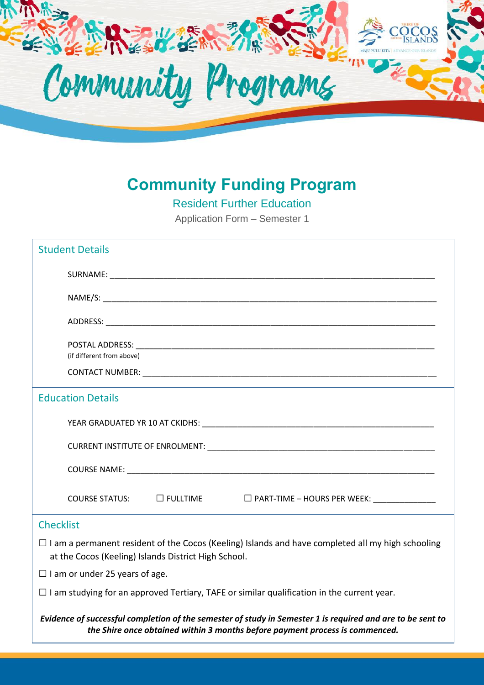

## **Community Funding Program**

Resident Further Education

Application Form – Semester 1

| <b>Student Details</b>                                                                                                                                                                     |
|--------------------------------------------------------------------------------------------------------------------------------------------------------------------------------------------|
|                                                                                                                                                                                            |
|                                                                                                                                                                                            |
|                                                                                                                                                                                            |
| (if different from above)                                                                                                                                                                  |
|                                                                                                                                                                                            |
| <b>Education Details</b>                                                                                                                                                                   |
|                                                                                                                                                                                            |
|                                                                                                                                                                                            |
|                                                                                                                                                                                            |
| COURSE STATUS: □ FULLTIME □ □ PART-TIME - HOURS PER WEEK: ______________                                                                                                                   |
| <b>Checklist</b>                                                                                                                                                                           |
| $\Box$ I am a permanent resident of the Cocos (Keeling) Islands and have completed all my high schooling<br>at the Cocos (Keeling) Islands District High School.                           |
| $\Box$ I am or under 25 years of age.                                                                                                                                                      |
| $\Box$ I am studying for an approved Tertiary, TAFE or similar qualification in the current year.                                                                                          |
| Evidence of successful completion of the semester of study in Semester 1 is required and are to be sent to<br>the Shire once obtained within 3 months before payment process is commenced. |